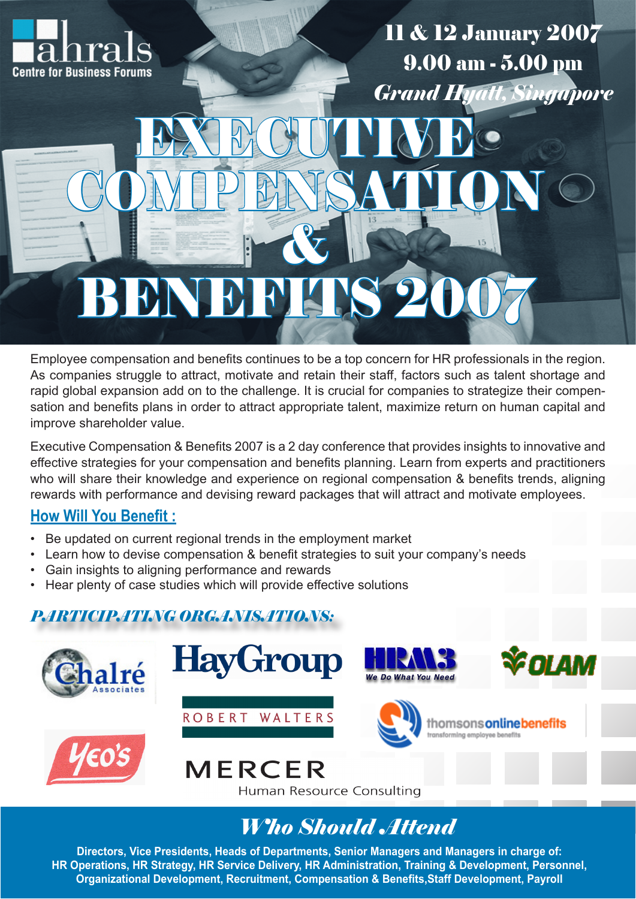

11 & 12 January 2007 9.00 am - 5.00 pm *Grand Hyatt, Singapore*

# & BENEFITS 20

EXECUTIVE

COMPENSATION

Employee compensation and benefits continues to be a top concern for HR professionals in the region. As companies struggle to attract, motivate and retain their staff, factors such as talent shortage and rapid global expansion add on to the challenge. It is crucial for companies to strategize their compensation and benefits plans in order to attract appropriate talent, maximize return on human capital and improve shareholder value.

Executive Compensation & Benefits 2007 is a 2 day conference that provides insights to innovative and effective strategies for your compensation and benefits planning. Learn from experts and practitioners who will share their knowledge and experience on regional compensation & benefits trends, aligning rewards with performance and devising reward packages that will attract and motivate employees.

## **How Will You Benefit :**

- Be updated on current regional trends in the employment market
- Learn how to devise compensation & benefit strategies to suit your company's needs
- Gain insights to aligning performance and rewards
- Hear plenty of case studies which will provide effective solutions

## *PARTICIPATING ORGANISATIONS:*



# *Who Should Attend*

**Directors, Vice Presidents, Heads of Departments, Senior Managers and Managers in charge of: HR Operations, HR Strategy, HR Service Delivery, HR Administration, Training & Development, Personnel, Organizational Development, Recruitment, Compensation & Benefits,Staff Development, Payroll**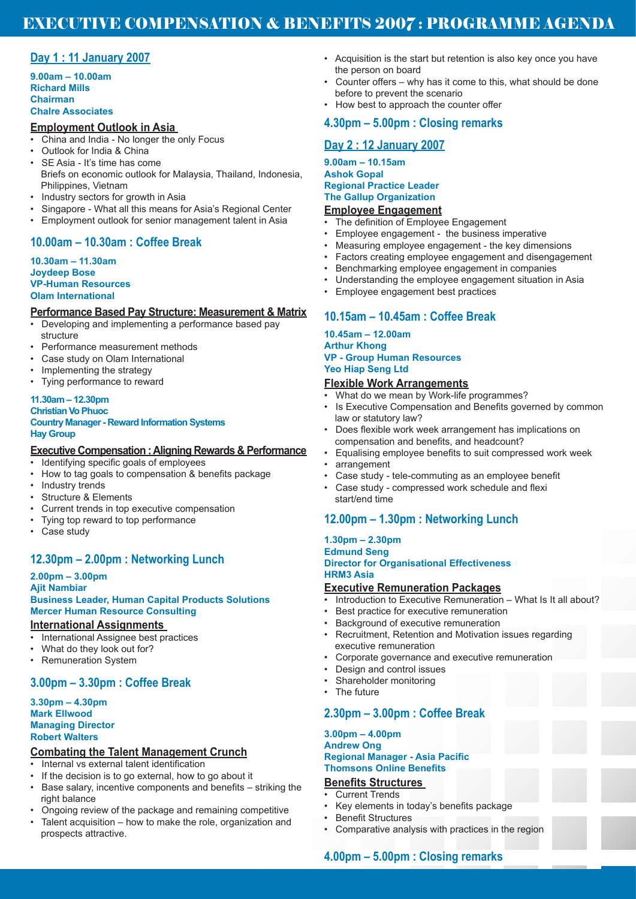### EXECUTIVE COMPENSATION & BENEFITS 2007 : PROGRAMME AGENDA

#### **Day 1 : 11 January 2007**

**9.00am – 10.00am Richard Mills Chairman Chalre Associates**

#### **Employment Outlook in Asia**

- China and India No longer the only Focus
- Outlook for India & China
- SE Asia It's time has come Briefs on economic outlook for Malaysia, Thailand, Indonesia, Philippines, Vietnam
- Industry sectors for growth in Asia
- Singapore What all this means for Asia's Regional Center
- Employment outlook for senior management talent in Asia

#### **10.00am – 10.30am : Coffee Break**

#### **10.30am – 11.30am Joydeep Bose VP-Human Resources Olam International**

#### **Performance Based Pay Structure: Measurement & Matrix**

- Developing and implementing a performance based pay structure
- Performance measurement methods
- Case study on Olam International
- Implementing the strategy
- Tying performance to reward

#### **11.30am – 12.30pm**

#### **Christian Vo Phuoc**

#### **Country Manager - Reward Information Systems Hay Group**

#### **Executive Compensation : Aligning Rewards & Performance**

- Identifying specific goals of employees<br>• How to tag goals to compensation & be
- How to tag goals to compensation & benefits package
- Industry trends
- Structure & Elements
- Current trends in top executive compensation
- Tying top reward to top performance
- Case study

#### **12.30pm – 2.00pm : Networking Lunch**

#### **2.00pm – 3.00pm**

#### **Ajit Nambiar Business Leader, Human Capital Products Solutions Mercer Human Resource Consulting**

#### **International Assignments**

- International Assignee best practices
- What do they look out for?
- Remuneration System

#### **3.00pm – 3.30pm : Coffee Break**

#### **3.30pm – 4.30pm Mark Ellwood Managing Director Robert Walters**

#### **Combating the Talent Management Crunch**

- Internal vs external talent identification
- If the decision is to go external, how to go about it
- Base salary, incentive components and benefits striking the right balance
- Ongoing review of the package and remaining competitive
- Talent acquisition how to make the role, organization and prospects attractive.
- Acquisition is the start but retention is also key once you have the person on board
- Counter offers why has it come to this, what should be done before to prevent the scenario
- How best to approach the counter offer

#### **4.30pm – 5.00pm : Closing remarks**

#### **Day 2 : 12 January 2007**

#### **9.00am – 10.15am Ashok Gopal Regional Practice Leader The Gallup Organization**

#### **Employee Engagement**

- The definition of Employee Engagement
- Employee engagement the business imperative
- Measuring employee engagement the key dimensions
- Factors creating employee engagement and disengagement
- Benchmarking employee engagement in companies
- Understanding the employee engagement situation in Asia
- Employee engagement best practices

#### **10.15am – 10.45am : Coffee Break**

#### **10.45am – 12.00am Arthur Khong VP - Group Human Resources Yeo Hiap Seng Ltd**

#### **Flexible Work Arrangements**

- What do we mean by Work-life programmes?
- Is Executive Compensation and Benefits governed by common law or statutory law?
- Does flexible work week arrangement has implications on compensation and benefits, and headcount?
- Equalising employee benefits to suit compressed work week
- arrangement
- Case study tele-commuting as an employee benefit
- Case study compressed work schedule and flexi start/end time

#### **12.00pm – 1.30pm : Networking Lunch**

#### **1.30pm – 2.30pm Edmund Seng Director for Organisational Effectiveness HRM3 Asia**

#### **Executive Remuneration Packages**

- Introduction to Executive Remuneration What Is It all about?
- Best practice for executive remuneration
- Background of executive remuneration
- Recruitment, Retention and Motivation issues regarding executive remuneration
- Corporate governance and executive remuneration
- Design and control issues
- Shareholder monitoring
- The future

#### **2.30pm – 3.00pm : Coffee Break**

#### **3.00pm – 4.00pm Andrew Ong Regional Manager - Asia Pacific Thomsons Online Benefits**

#### **Benefits Structures**

- Current Trends
- Key elements in today's benefits package
- Benefit Structures • Comparative analysis with practices in the region

#### **4.00pm – 5.00pm : Closing remarks**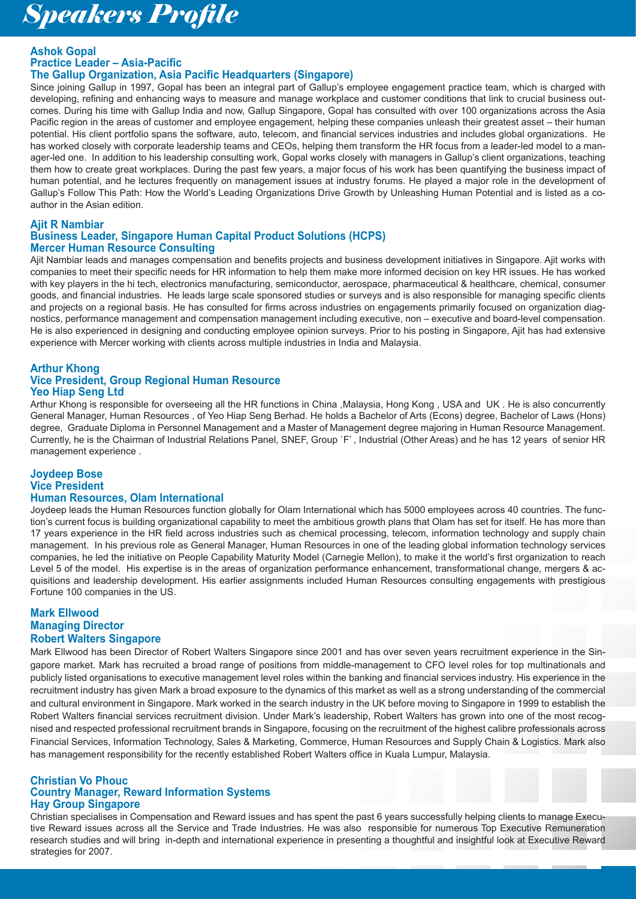# *Speakers Profile*

#### **Ashok Gopal Practice Leader – Asia-Pacific The Gallup Organization, Asia Pacific Headquarters (Singapore)**

Since joining Gallup in 1997, Gopal has been an integral part of Gallup's employee engagement practice team, which is charged with developing, refining and enhancing ways to measure and manage workplace and customer conditions that link to crucial business outcomes. During his time with Gallup India and now, Gallup Singapore, Gopal has consulted with over 100 organizations across the Asia Pacific region in the areas of customer and employee engagement, helping these companies unleash their greatest asset – their human potential. His client portfolio spans the software, auto, telecom, and financial services industries and includes global organizations. He has worked closely with corporate leadership teams and CEOs, helping them transform the HR focus from a leader-led model to a manager-led one. In addition to his leadership consulting work, Gopal works closely with managers in Gallup's client organizations, teaching them how to create great workplaces. During the past few years, a major focus of his work has been quantifying the business impact of human potential, and he lectures frequently on management issues at industry forums. He played a major role in the development of Gallup's Follow This Path: How the World's Leading Organizations Drive Growth by Unleashing Human Potential and is listed as a coauthor in the Asian edition.

#### **Ajit R Nambiar Business Leader, Singapore Human Capital Product Solutions (HCPS) Mercer Human Resource Consulting**

Ajit Nambiar leads and manages compensation and benefits projects and business development initiatives in Singapore. Ajit works with companies to meet their specific needs for HR information to help them make more informed decision on key HR issues. He has worked with key players in the hi tech, electronics manufacturing, semiconductor, aerospace, pharmaceutical & healthcare, chemical, consumer goods, and financial industries. He leads large scale sponsored studies or surveys and is also responsible for managing specific clients and projects on a regional basis. He has consulted for firms across industries on engagements primarily focused on organization diagnostics, performance management and compensation management including executive, non – executive and board-level compensation. He is also experienced in designing and conducting employee opinion surveys. Prior to his posting in Singapore, Ajit has had extensive experience with Mercer working with clients across multiple industries in India and Malaysia.

#### **Arthur Khong Vice President, Group Regional Human Resource Yeo Hiap Seng Ltd**

Arthur Khong is responsible for overseeing all the HR functions in China ,Malaysia, Hong Kong , USA and UK . He is also concurrently General Manager, Human Resources , of Yeo Hiap Seng Berhad. He holds a Bachelor of Arts (Econs) degree, Bachelor of Laws (Hons) degree, Graduate Diploma in Personnel Management and a Master of Management degree majoring in Human Resource Management. Currently, he is the Chairman of Industrial Relations Panel, SNEF, Group `F' , Industrial (Other Areas) and he has 12 years of senior HR management experience .

#### **Joydeep Bose Vice President Human Resources, Olam International**

Joydeep leads the Human Resources function globally for Olam International which has 5000 employees across 40 countries. The function's current focus is building organizational capability to meet the ambitious growth plans that Olam has set for itself. He has more than 17 years experience in the HR field across industries such as chemical processing, telecom, information technology and supply chain management. In his previous role as General Manager, Human Resources in one of the leading global information technology services companies, he led the initiative on People Capability Maturity Model (Carnegie Mellon), to make it the world's first organization to reach Level 5 of the model. His expertise is in the areas of organization performance enhancement, transformational change, mergers & acquisitions and leadership development. His earlier assignments included Human Resources consulting engagements with prestigious Fortune 100 companies in the US.

#### **Mark Ellwood Managing Director Robert Walters Singapore**

Mark Ellwood has been Director of Robert Walters Singapore since 2001 and has over seven years recruitment experience in the Singapore market. Mark has recruited a broad range of positions from middle-management to CFO level roles for top multinationals and publicly listed organisations to executive management level roles within the banking and financial services industry. His experience in the recruitment industry has given Mark a broad exposure to the dynamics of this market as well as a strong understanding of the commercial and cultural environment in Singapore. Mark worked in the search industry in the UK before moving to Singapore in 1999 to establish the Robert Walters financial services recruitment division. Under Mark's leadership, Robert Walters has grown into one of the most recognised and respected professional recruitment brands in Singapore, focusing on the recruitment of the highest calibre professionals across Financial Services, Information Technology, Sales & Marketing, Commerce, Human Resources and Supply Chain & Logistics. Mark also has management responsibility for the recently established Robert Walters office in Kuala Lumpur, Malaysia.

#### **Christian Vo Phouc Country Manager, Reward Information Systems Hay Group Singapore**

Christian specialises in Compensation and Reward issues and has spent the past 6 years successfully helping clients to manage Executive Reward issues across all the Service and Trade Industries. He was also responsible for numerous Top Executive Remuneration research studies and will bring in-depth and international experience in presenting a thoughtful and insightful look at Executive Reward strategies for 2007.